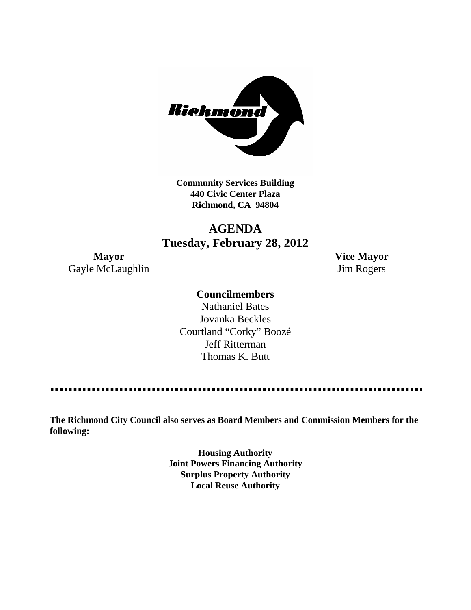

**Community Services Building 440 Civic Center Plaza Richmond, CA 94804**

## **AGENDA Tuesday, February 28, 2012**

Gayle McLaughlin Jim Rogers

**Mayor Vice Mayor**

## **Councilmembers**

Nathaniel Bates Jovanka Beckles Courtland "Corky" Boozé Jeff Ritterman Thomas K. Butt

--------------

**The Richmond City Council also serves as Board Members and Commission Members for the following:**

> **Housing Authority Joint Powers Financing Authority Surplus Property Authority Local Reuse Authority**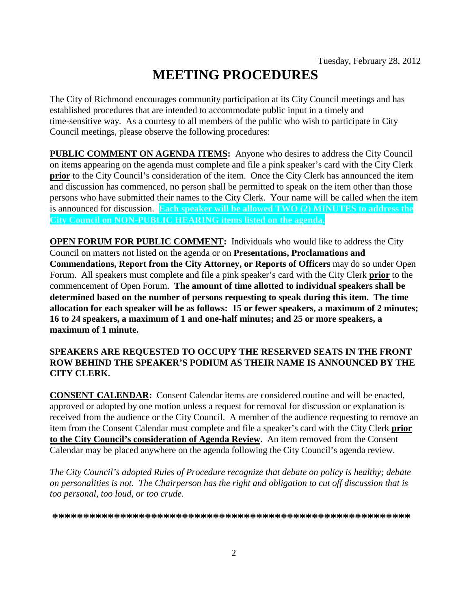# **MEETING PROCEDURES**

The City of Richmond encourages community participation at its City Council meetings and has established procedures that are intended to accommodate public input in a timely and time-sensitive way. As a courtesy to all members of the public who wish to participate in City Council meetings, please observe the following procedures:

**PUBLIC COMMENT ON AGENDA ITEMS:** Anyone who desires to address the City Council on items appearing on the agenda must complete and file a pink speaker's card with the City Clerk **prior** to the City Council's consideration of the item. Once the City Clerk has announced the item and discussion has commenced, no person shall be permitted to speak on the item other than those persons who have submitted their names to the City Clerk. Your name will be called when the item is announced for discussion. **Each speaker will be allowed TWO (2) MINUTES to address the City Council on NON-PUBLIC HEARING items listed on the agenda.**

**OPEN FORUM FOR PUBLIC COMMENT:** Individuals who would like to address the City Council on matters not listed on the agenda or on **Presentations, Proclamations and Commendations, Report from the City Attorney, or Reports of Officers** may do so under Open Forum. All speakers must complete and file a pink speaker's card with the City Clerk **prior** to the commencement of Open Forum. **The amount of time allotted to individual speakers shall be determined based on the number of persons requesting to speak during this item. The time allocation for each speaker will be as follows: 15 or fewer speakers, a maximum of 2 minutes; 16 to 24 speakers, a maximum of 1 and one-half minutes; and 25 or more speakers, a maximum of 1 minute.**

### **SPEAKERS ARE REQUESTED TO OCCUPY THE RESERVED SEATS IN THE FRONT ROW BEHIND THE SPEAKER'S PODIUM AS THEIR NAME IS ANNOUNCED BY THE CITY CLERK.**

**CONSENT CALENDAR:** Consent Calendar items are considered routine and will be enacted, approved or adopted by one motion unless a request for removal for discussion or explanation is received from the audience or the City Council. A member of the audience requesting to remove an item from the Consent Calendar must complete and file a speaker's card with the City Clerk **prior to the City Council's consideration of Agenda Review.** An item removed from the Consent Calendar may be placed anywhere on the agenda following the City Council's agenda review.

*The City Council's adopted Rules of Procedure recognize that debate on policy is healthy; debate on personalities is not. The Chairperson has the right and obligation to cut off discussion that is too personal, too loud, or too crude.*

**\*\*\*\*\*\*\*\*\*\*\*\*\*\*\*\*\*\*\*\*\*\*\*\*\*\*\*\*\*\*\*\*\*\*\*\*\*\*\*\*\*\*\*\*\*\*\*\*\*\*\*\*\*\*\*\*\*\***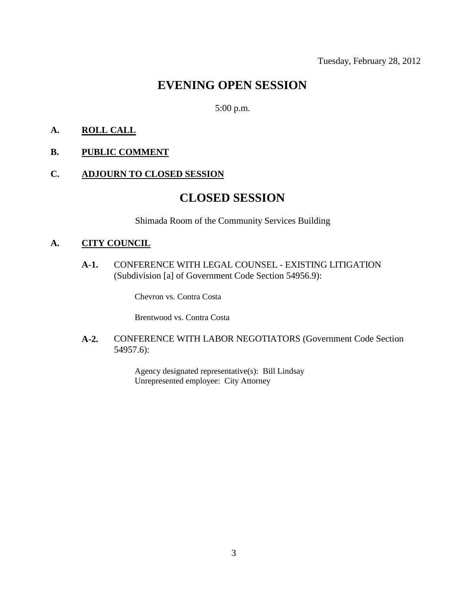## **EVENING OPEN SESSION**

## 5:00 p.m.

#### **A. ROLL CALL**

**B. PUBLIC COMMENT**

#### **C. ADJOURN TO CLOSED SESSION**

## **CLOSED SESSION**

Shimada Room of the Community Services Building

## **A. CITY COUNCIL**

**A-1.** CONFERENCE WITH LEGAL COUNSEL - EXISTING LITIGATION (Subdivision [a] of Government Code Section 54956.9):

Chevron vs. Contra Costa

Brentwood vs. Contra Costa

#### **A-2.** CONFERENCE WITH LABOR NEGOTIATORS (Government Code Section 54957.6):

Agency designated representative(s): Bill Lindsay Unrepresented employee: City Attorney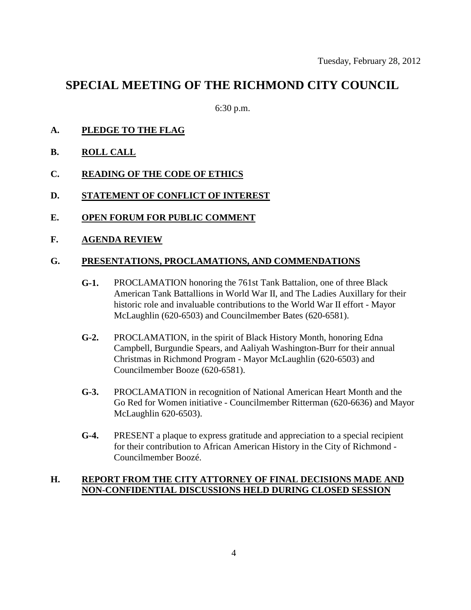## **SPECIAL MEETING OF THE RICHMOND CITY COUNCIL**

6:30 p.m.

- **A. PLEDGE TO THE FLAG**
- **B. ROLL CALL**
- **C. READING OF THE CODE OF ETHICS**
- **D. STATEMENT OF CONFLICT OF INTEREST**
- **E. OPEN FORUM FOR PUBLIC COMMENT**
- **F. AGENDA REVIEW**

#### **G. PRESENTATIONS, PROCLAMATIONS, AND COMMENDATIONS**

- **G-1.** PROCLAMATION honoring the 761st Tank Battalion, one of three Black American Tank Battallions in World War II, and The Ladies Auxillary for their historic role and invaluable contributions to the World War II effort - Mayor McLaughlin (620-6503) and Councilmember Bates (620-6581).
- **G-2.** PROCLAMATION, in the spirit of Black History Month, honoring Edna Campbell, Burgundie Spears, and Aaliyah Washington-Burr for their annual Christmas in Richmond Program - Mayor McLaughlin (620-6503) and Councilmember Booze (620-6581).
- **G-3.** PROCLAMATION in recognition of National American Heart Month and the Go Red for Women initiative - Councilmember Ritterman (620-6636) and Mayor McLaughlin 620-6503).
- **G-4.** PRESENT a plaque to express gratitude and appreciation to a special recipient for their contribution to African American History in the City of Richmond - Councilmember Boozé.

## **H. REPORT FROM THE CITY ATTORNEY OF FINAL DECISIONS MADE AND NON-CONFIDENTIAL DISCUSSIONS HELD DURING CLOSED SESSION**